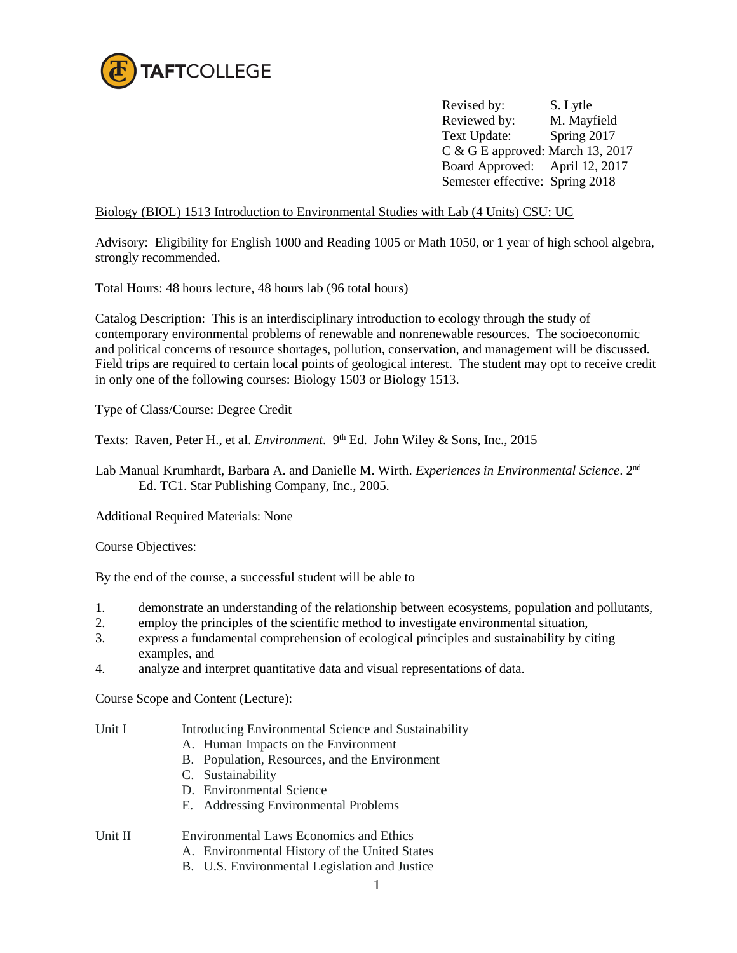

 Revised by: S. Lytle Reviewed by: M. Mayfield Text Update: Spring 2017 C & G E approved: March 13, 2017 Board Approved: April 12, 2017 Semester effective: Spring 2018

Biology (BIOL) 1513 Introduction to Environmental Studies with Lab (4 Units) CSU: UC

Advisory: Eligibility for English 1000 and Reading 1005 or Math 1050, or 1 year of high school algebra, strongly recommended.

Total Hours: 48 hours lecture, 48 hours lab (96 total hours)

Catalog Description: This is an interdisciplinary introduction to ecology through the study of contemporary environmental problems of renewable and nonrenewable resources. The socioeconomic and political concerns of resource shortages, pollution, conservation, and management will be discussed. Field trips are required to certain local points of geological interest. The student may opt to receive credit in only one of the following courses: Biology 1503 or Biology 1513.

Type of Class/Course: Degree Credit

Texts: Raven, Peter H., et al. *Environment*. 9<sup>th</sup> Ed. John Wiley & Sons, Inc., 2015

Lab Manual Krumhardt, Barbara A. and Danielle M. Wirth. *Experiences in Environmental Science*. 2nd Ed. TC1. Star Publishing Company, Inc., 2005.

Additional Required Materials: None

Course Objectives:

By the end of the course, a successful student will be able to

- 1. demonstrate an understanding of the relationship between ecosystems, population and pollutants,
- 2. employ the principles of the scientific method to investigate environmental situation,
- 3. express a fundamental comprehension of ecological principles and sustainability by citing examples, and
- 4. analyze and interpret quantitative data and visual representations of data.

Course Scope and Content (Lecture):

- Unit I Introducing Environmental Science and Sustainability
	- A. Human Impacts on the Environment
	- B. Population, Resources, and the Environment
	- C. Sustainability
	- D. Environmental Science
	- E. Addressing Environmental Problems

Unit II Environmental Laws Economics and Ethics

- A. Environmental History of the United States
	- B. U.S. Environmental Legislation and Justice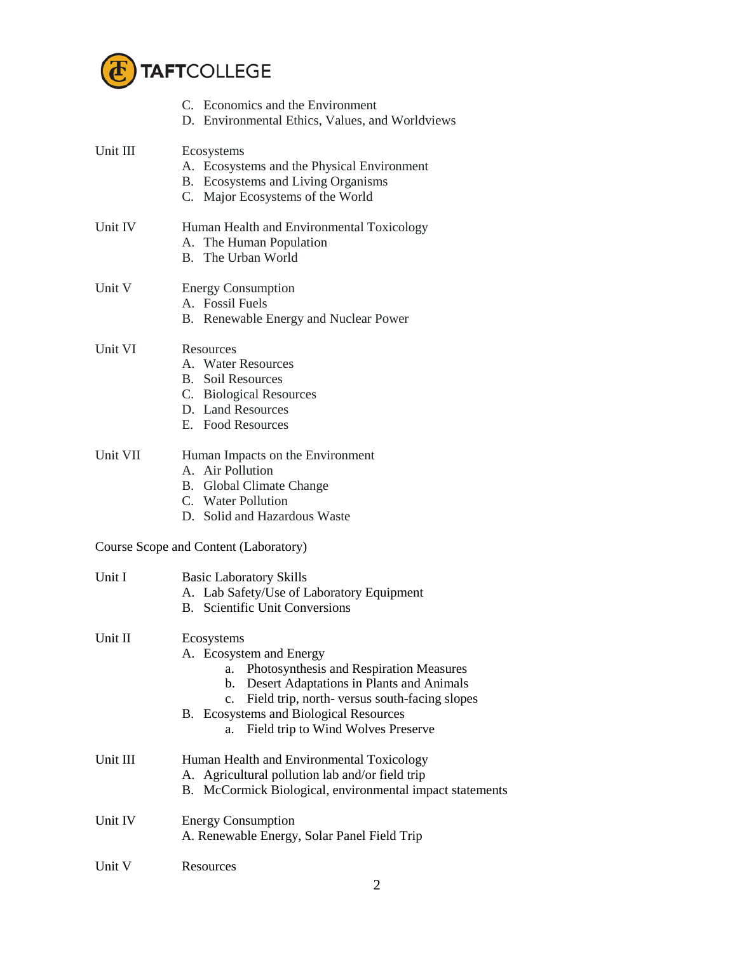

|          | C. Economics and the Environment<br>D. Environmental Ethics, Values, and Worldviews                                                                                                                                                                                                              |  |
|----------|--------------------------------------------------------------------------------------------------------------------------------------------------------------------------------------------------------------------------------------------------------------------------------------------------|--|
| Unit III | Ecosystems<br>A. Ecosystems and the Physical Environment<br>B. Ecosystems and Living Organisms<br>C. Major Ecosystems of the World                                                                                                                                                               |  |
| Unit IV  | Human Health and Environmental Toxicology<br>A. The Human Population<br>B. The Urban World                                                                                                                                                                                                       |  |
| Unit V   | <b>Energy Consumption</b><br>A. Fossil Fuels<br>B. Renewable Energy and Nuclear Power                                                                                                                                                                                                            |  |
| Unit VI  | Resources<br>A. Water Resources<br><b>B.</b> Soil Resources<br>C. Biological Resources<br>D. Land Resources<br>E. Food Resources                                                                                                                                                                 |  |
| Unit VII | Human Impacts on the Environment<br>A. Air Pollution<br><b>B.</b> Global Climate Change<br>C. Water Pollution<br>D. Solid and Hazardous Waste                                                                                                                                                    |  |
|          | Course Scope and Content (Laboratory)                                                                                                                                                                                                                                                            |  |
| Unit I   | <b>Basic Laboratory Skills</b><br>A. Lab Safety/Use of Laboratory Equipment<br><b>B.</b> Scientific Unit Conversions                                                                                                                                                                             |  |
| Unit II  | Ecosystems<br>A. Ecosystem and Energy<br>Photosynthesis and Respiration Measures<br>a.<br>Desert Adaptations in Plants and Animals<br>b.<br>Field trip, north-versus south-facing slopes<br>$\mathbf{c}$ .<br>B. Ecosystems and Biological Resources<br>Field trip to Wind Wolves Preserve<br>a. |  |
| Unit III | Human Health and Environmental Toxicology<br>A. Agricultural pollution lab and/or field trip<br>B. McCormick Biological, environmental impact statements                                                                                                                                         |  |
| Unit IV  | <b>Energy Consumption</b><br>A. Renewable Energy, Solar Panel Field Trip                                                                                                                                                                                                                         |  |
| Unit V   | Resources                                                                                                                                                                                                                                                                                        |  |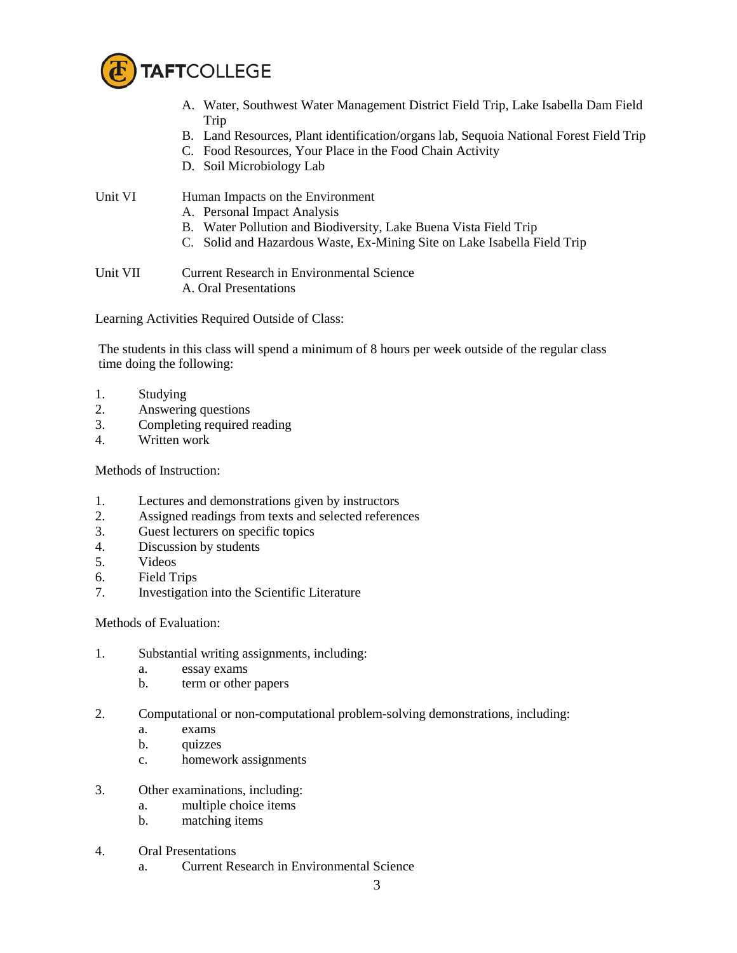

- A. Water, Southwest Water Management District Field Trip, Lake Isabella Dam Field Trip
- B. Land Resources, Plant identification/organs lab, Sequoia National Forest Field Trip
- C. Food Resources, Your Place in the Food Chain Activity
- D. Soil Microbiology Lab

Unit VI Human Impacts on the Environment

- A. Personal Impact Analysis
- B. Water Pollution and Biodiversity, Lake Buena Vista Field Trip
- C. Solid and Hazardous Waste, Ex-Mining Site on Lake Isabella Field Trip

Unit VII Current Research in Environmental Science A. Oral Presentations

Learning Activities Required Outside of Class:

The students in this class will spend a minimum of 8 hours per week outside of the regular class time doing the following:

- 1. Studying
- 2. Answering questions
- 3. Completing required reading
- 4. Written work

Methods of Instruction:

- 1. Lectures and demonstrations given by instructors
- 2. Assigned readings from texts and selected references
- 3. Guest lecturers on specific topics
- 4. Discussion by students
- 5. Videos
- 6. Field Trips
- 7. Investigation into the Scientific Literature

Methods of Evaluation:

- 1. Substantial writing assignments, including:
	- a. essay exams
	- b. term or other papers
- 2. Computational or non-computational problem-solving demonstrations, including:
	- a. exams
	- b. quizzes
	- c. homework assignments
- 3. Other examinations, including:
	- a. multiple choice items
	- b. matching items
- 4. Oral Presentations
	- a. Current Research in Environmental Science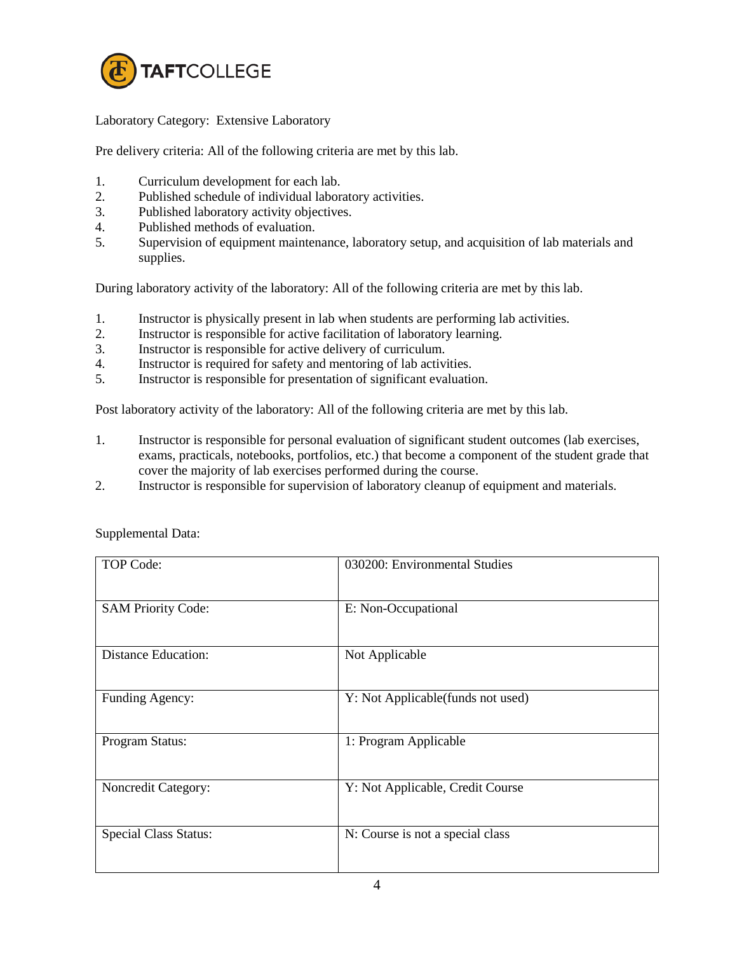

Laboratory Category: Extensive Laboratory

Pre delivery criteria: All of the following criteria are met by this lab.

- 1. Curriculum development for each lab.
- 2. Published schedule of individual laboratory activities.
- 3. Published laboratory activity objectives.
- 4. Published methods of evaluation.
- 5. Supervision of equipment maintenance, laboratory setup, and acquisition of lab materials and supplies.

During laboratory activity of the laboratory: All of the following criteria are met by this lab.

- 1. Instructor is physically present in lab when students are performing lab activities.
- 2. Instructor is responsible for active facilitation of laboratory learning.<br>3. Instructor is responsible for active delivery of curriculum.
- Instructor is responsible for active delivery of curriculum.
- 4. Instructor is required for safety and mentoring of lab activities.
- 5. Instructor is responsible for presentation of significant evaluation.

Post laboratory activity of the laboratory: All of the following criteria are met by this lab.

- 1. Instructor is responsible for personal evaluation of significant student outcomes (lab exercises, exams, practicals, notebooks, portfolios, etc.) that become a component of the student grade that cover the majority of lab exercises performed during the course.
- 2. Instructor is responsible for supervision of laboratory cleanup of equipment and materials.

| <b>TOP Code:</b>             | 030200: Environmental Studies     |
|------------------------------|-----------------------------------|
| <b>SAM Priority Code:</b>    | E: Non-Occupational               |
| <b>Distance Education:</b>   | Not Applicable                    |
| Funding Agency:              | Y: Not Applicable(funds not used) |
| Program Status:              | 1: Program Applicable             |
| Noncredit Category:          | Y: Not Applicable, Credit Course  |
| <b>Special Class Status:</b> | N: Course is not a special class  |

Supplemental Data: